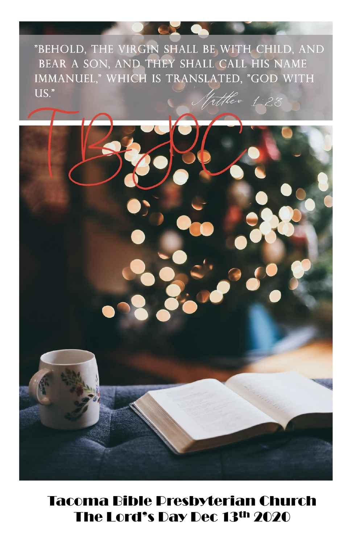"BEHOLD, THE VIRGIN SHALL BE WITH CHILD, AND BEAR A SON, AND THEY SHALL CALL HIS NAME IMMANUEL," WHICH IS TRANSLATED, "GOD WITH  $US.$ " Vatther 1:23

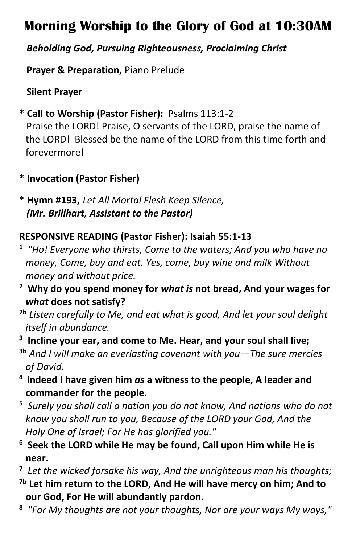# **Morning Worship to the Glory of God at 10:30AM**

### *Beholding God, Pursuing Righteousness, Proclaiming Christ*

 **Prayer & Preparation,** Piano Prelude

**Silent Prayer**

**\* Call to Worship (Pastor Fisher):** Psalms 113:1-2

 Praise the LORD! Praise, O servants of the LORD, praise the name of the LORD! Blessed be the name of the LORD from this time forth and forevermore!

- **\* Invocation (Pastor Fisher)**
- \* **Hymn #193,** *Let All Mortal Flesh Keep Silence, (Mr. Brillhart, Assistant to the Pastor)*

## **RESPONSIVE READING (Pastor Fisher): Isaiah 55:1-13**

- **1** *"Ho! Everyone who thirsts, Come to the waters; And you who have no money, Come, buy and eat. Yes, come, buy wine and milk Without money and without price.*
- **<sup>2</sup> Why do you spend money for** *what is* **not bread, And your wages for**  *what* **does not satisfy?**
- **2b** *Listen carefully to Me, and eat what is good, And let your soul delight itself in abundance.*
- **3 Incline your ear, and come to Me. Hear, and your soul shall live;**
- **3b** *And I will make an everlasting covenant with you—The sure mercies of David.*
- **4 Indeed I have given him** *as* **a witness to the people, A leader and commander for the people.**
- **<sup>5</sup>** *Surely you shall call a nation you do not know, And nations who do not know you shall run to you, Because of the LORD your God, And the Holy One of Israel; For He has glorified you."*
- **<sup>6</sup> Seek the LORD while He may be found, Call upon Him while He is near.**
- **7** *Let the wicked forsake his way, And the unrighteous man his thoughts;*
- **7b Let him return to the LORD, And He will have mercy on him; And to our God, For He will abundantly pardon.**
- **8** *"For My thoughts are not your thoughts, Nor are your ways My ways,"*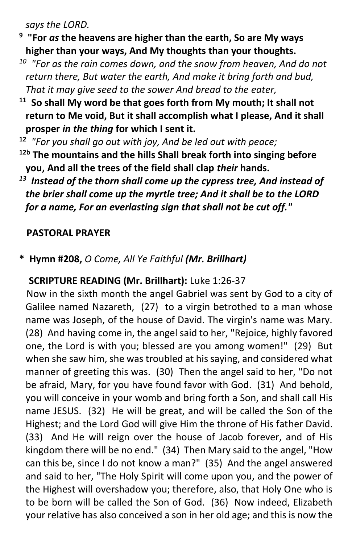*says the LORD.*

- **9 "For** *as* **the heavens are higher than the earth, So are My ways higher than your ways, And My thoughts than your thoughts.**
- *<sup>10</sup> "For as the rain comes down, and the snow from heaven, And do not return there, But water the earth, And make it bring forth and bud, That it may give seed to the sower And bread to the eater,*
- **<sup>11</sup> So shall My word be that goes forth from My mouth; It shall not return to Me void, But it shall accomplish what I please, And it shall prosper** *in the thing* **for which I sent it.**
- **<sup>12</sup>** *"For you shall go out with joy, And be led out with peace;*  **12b The mountains and the hills Shall break forth into singing before you, And all the trees of the field shall clap** *their* **hands.**
- *<sup>13</sup> Instead of the thorn shall come up the cypress tree, And instead of the brier shall come up the myrtle tree; And it shall be to the LORD for a name, For an everlasting sign that shall not be cut off."*

#### **PASTORAL PRAYER**

#### **\* Hymn #208,** *O Come, All Ye Faithful (Mr. Brillhart)*

#### **SCRIPTURE READING (Mr. Brillhart):** Luke 1:26-37

Now in the sixth month the angel Gabriel was sent by God to a city of Galilee named Nazareth, (27) to a virgin betrothed to a man whose name was Joseph, of the house of David. The virgin's name was Mary. (28) And having come in, the angel said to her, "Rejoice, highly favored one, the Lord is with you; blessed are you among women!" (29) But when she saw him, she was troubled at his saying, and considered what manner of greeting this was. (30) Then the angel said to her, "Do not be afraid, Mary, for you have found favor with God. (31) And behold, you will conceive in your womb and bring forth a Son, and shall call His name JESUS. (32) He will be great, and will be called the Son of the Highest; and the Lord God will give Him the throne of His father David. (33) And He will reign over the house of Jacob forever, and of His kingdom there will be no end." (34) Then Mary said to the angel, "How can this be, since I do not know a man?" (35) And the angel answered and said to her, "The Holy Spirit will come upon you, and the power of the Highest will overshadow you; therefore, also, that Holy One who is to be born will be called the Son of God. (36) Now indeed, Elizabeth your relative has also conceived a son in her old age; and this is now the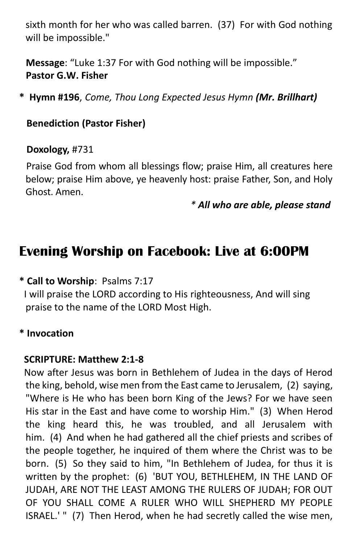sixth month for her who was called barren. (37) For with God nothing will be impossible."

 **Message**: "Luke 1:37 For with God nothing will be impossible." **Pastor G.W. Fisher**

**\* Hymn #196**, *Come, Thou Long Expected Jesus Hymn (Mr. Brillhart)*

#### **Benediction (Pastor Fisher)**

#### **Doxology,** #731

 Praise God from whom all blessings flow; praise Him, all creatures here below; praise Him above, ye heavenly host: praise Father, Son, and Holy Ghost. Amen.

*\* All who are able, please stand*

# **Evening Worship on Facebook: Live at 6:00PM**

#### **\* Call to Worship**: Psalms 7:17

I will praise the LORD according to His righteousness, And will sing praise to the name of the LORD Most High.

#### **\* Invocation**

#### **SCRIPTURE: Matthew 2:1-8**

Now after Jesus was born in Bethlehem of Judea in the days of Herod the king, behold, wise men from the East came to Jerusalem, (2) saying, "Where is He who has been born King of the Jews? For we have seen His star in the East and have come to worship Him." (3) When Herod the king heard this, he was troubled, and all Jerusalem with him. (4) And when he had gathered all the chief priests and scribes of the people together, he inquired of them where the Christ was to be born. (5) So they said to him, "In Bethlehem of Judea, for thus it is written by the prophet: (6) 'BUT YOU, BETHLEHEM, IN THE LAND OF JUDAH, ARE NOT THE LEAST AMONG THE RULERS OF JUDAH; FOR OUT OF YOU SHALL COME A RULER WHO WILL SHEPHERD MY PEOPLE ISRAEL.' " (7) Then Herod, when he had secretly called the wise men,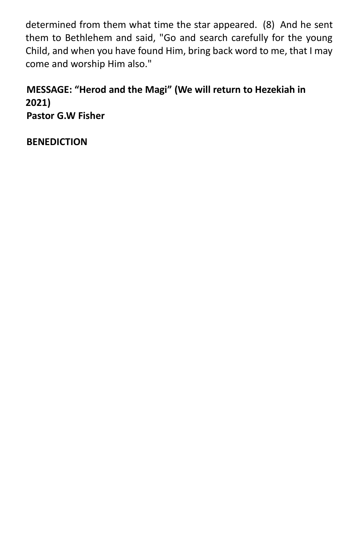determined from them what time the star appeared. (8) And he sent them to Bethlehem and said, "Go and search carefully for the young Child, and when you have found Him, bring back word to me, that I may come and worship Him also."

 **MESSAGE: "Herod and the Magi" (We will return to Hezekiah in 2021) Pastor G.W Fisher**

**BENEDICTION**